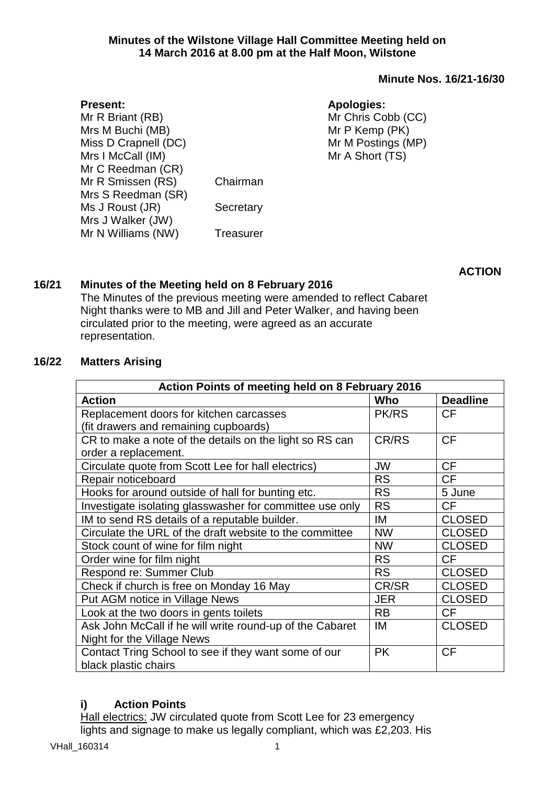### **Minutes of the Wilstone Village Hall Committee Meeting held on 14 March 2016 at 8.00 pm at the Half Moon, Wilstone**

# **Minute Nos. 16/21-16/30**

# **Apologies:**

Mr Chris Cobb (CC) Mr P Kemp (PK) Mr M Postings (MP) Mr A Short (TS)

Mrs M Buchi (MB) Miss D Crapnell (DC) Mrs I McCall (IM) Mr C Reedman (CR) Mr R Smissen (RS) Chairman Mrs S Reedman (SR) Ms J Roust (JR) Secretary Mrs J Walker (JW) Mr N Williams (NW) Treasurer

**ACTION**

# **16/21 Minutes of the Meeting held on 8 February 2016**

The Minutes of the previous meeting were amended to reflect Cabaret Night thanks were to MB and Jill and Peter Walker, and having been circulated prior to the meeting, were agreed as an accurate representation.

# **16/22 Matters Arising**

**Present:**

Mr R Briant (RB)

| Action Points of meeting held on 8 February 2016         |              |                 |  |  |
|----------------------------------------------------------|--------------|-----------------|--|--|
| <b>Action</b>                                            | Who          | <b>Deadline</b> |  |  |
| Replacement doors for kitchen carcasses                  | <b>PK/RS</b> | <b>CF</b>       |  |  |
| (fit drawers and remaining cupboards)                    |              |                 |  |  |
| CR to make a note of the details on the light so RS can  | CR/RS        | <b>CF</b>       |  |  |
| order a replacement.                                     |              |                 |  |  |
| Circulate quote from Scott Lee for hall electrics)       | JW           | <b>CF</b>       |  |  |
| Repair noticeboard                                       | <b>RS</b>    | <b>CF</b>       |  |  |
| Hooks for around outside of hall for bunting etc.        | <b>RS</b>    | 5 June          |  |  |
| Investigate isolating glasswasher for committee use only | <b>RS</b>    | <b>CF</b>       |  |  |
| IM to send RS details of a reputable builder.            | IM           | <b>CLOSED</b>   |  |  |
| Circulate the URL of the draft website to the committee  | <b>NW</b>    | <b>CLOSED</b>   |  |  |
| Stock count of wine for film night                       | <b>NW</b>    | <b>CLOSED</b>   |  |  |
| Order wine for film night                                | <b>RS</b>    | <b>CF</b>       |  |  |
| Respond re: Summer Club                                  | <b>RS</b>    | <b>CLOSED</b>   |  |  |
| Check if church is free on Monday 16 May                 | CR/SR        | <b>CLOSED</b>   |  |  |
| Put AGM notice in Village News                           | <b>JER</b>   | <b>CLOSED</b>   |  |  |
| Look at the two doors in gents toilets                   | <b>RB</b>    | <b>CF</b>       |  |  |
| Ask John McCall if he will write round-up of the Cabaret | IM           | <b>CLOSED</b>   |  |  |
| Night for the Village News                               |              |                 |  |  |
| Contact Tring School to see if they want some of our     | <b>PK</b>    | <b>CF</b>       |  |  |
| black plastic chairs                                     |              |                 |  |  |

# **i) Action Points**

Hall electrics: JW circulated quote from Scott Lee for 23 emergency lights and signage to make us legally compliant, which was £2,203. His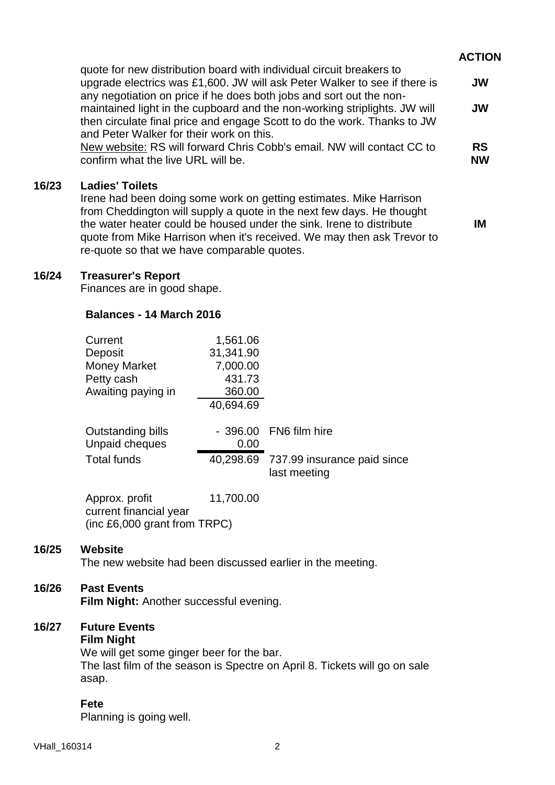# **ACTION**

**IM**

| quote for new distribution board with individual circuit breakers to      |           |
|---------------------------------------------------------------------------|-----------|
| upgrade electrics was £1,600. JW will ask Peter Walker to see if there is | <b>JW</b> |
| any negotiation on price if he does both jobs and sort out the non-       |           |
| maintained light in the cupboard and the non-working striplights. JW will | <b>JW</b> |
| then circulate final price and engage Scott to do the work. Thanks to JW  |           |
| and Peter Walker for their work on this.                                  |           |
| New website: RS will forward Chris Cobb's email. NW will contact CC to    | <b>RS</b> |
| confirm what the live URL will be.                                        | <b>NW</b> |

#### **16/23 Ladies' Toilets**

Irene had been doing some work on getting estimates. Mike Harrison from Cheddington will supply a quote in the next few days. He thought the water heater could be housed under the sink. Irene to distribute quote from Mike Harrison when it's received. We may then ask Trevor to re-quote so that we have comparable quotes.

### **16/24 Treasurer's Report**

Finances are in good shape.

#### **Balances - 14 March 2016**

| Current                                    | 1,561.06  |                                                       |
|--------------------------------------------|-----------|-------------------------------------------------------|
| Deposit                                    | 31,341.90 |                                                       |
| <b>Money Market</b>                        | 7,000.00  |                                                       |
| Petty cash                                 | 431.73    |                                                       |
| Awaiting paying in                         | 360.00    |                                                       |
|                                            | 40,694.69 |                                                       |
| <b>Outstanding bills</b><br>Unpaid cheques | 0.00      | - 396.00 FN6 film hire                                |
| <b>Total funds</b>                         |           | 40,298.69 737.99 insurance paid since<br>last meeting |
|                                            |           |                                                       |

Approx. profit 11,700.00 current financial year (inc £6,000 grant from TRPC)

### **16/25 Website**

The new website had been discussed earlier in the meeting.

# **16/26 Past Events**

**Film Night:** Another successful evening.

# **16/27 Future Events**

# **Film Night**

We will get some ginger beer for the bar. The last film of the season is Spectre on April 8. Tickets will go on sale asap.

# **Fete**

Planning is going well.